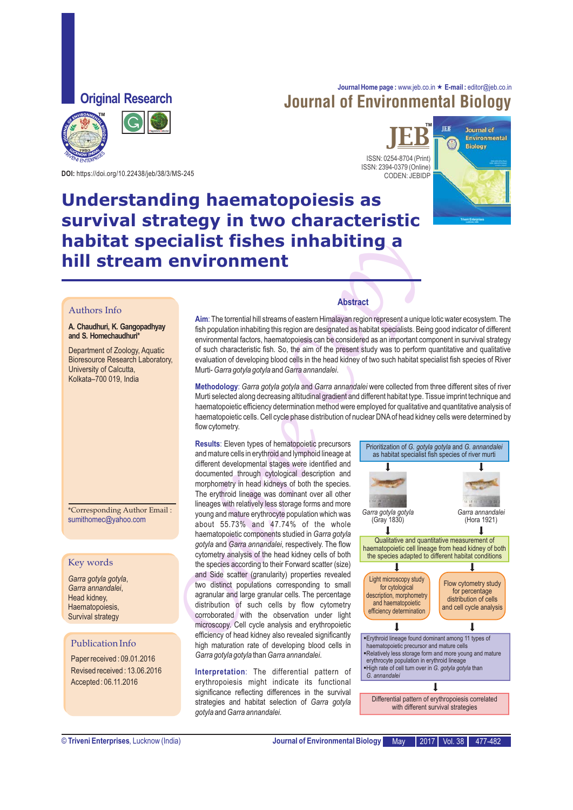**Original Research**

## **Journal Home page :** www.jeb.co.in « **E-mail :** editor@jeb.co.in Journal of Environmental Biology



**Plagiarism Detector** 

ISSN: 0254-8704 (Print) ISSN: 2394-0379 (Online) CODEN: JEBIDP  $JEB^*$ 



# **DOI:** https://doi.org/10.22438/jeb/38/3/MS-245

# **Understanding haematopoiesis as survival strategy in two characteristic habitat specialist fishes inhabiting a hill stream environment**

### Authors Info

### **A. Chaudhuri, K. Gangopadhyay and S. Homechaudhuri\***

Department of Zoology, Aquatic Bioresource Research Laboratory, University of Calcutta, Kolkata–700 019, India

\*Corresponding Author Email : sumithomec@yahoo.com

### Key words

*Garra gotyla gotyla*, *Garra annandalei*, Head kidney, Haematopoiesis, Survival strategy

### Publication Info

Paper received : 09.01.2016 Revised received : 13.06.2016 Accepted : 06.11.2016

**Aim**: The torrential hill streams of eastern Himalayan region represent a unique lotic water ecosystem. The of such characteristic fish. So, the aim of the present study was to perform quantitative and qualitative evaluation of developing blood cells in the head kidney of two such habitat specialist fish species of River Murti- *Garra gotyla gotyla* and *Garra annandalei*. fish population inhabiting this region are designated as habitat specialists. Being good indicator of different environmental factors, haematopoiesis can be considered as an important component in survival strategy

**Methodology**: *Garra gotyla gotyla* and *Garra annandalei* were collected from three different sites of river Murti selected along decreasing altitudinal gradient and different habitat type. Tissue imprint technique and haematopoietic efficiency determination method were employed for qualitative and quantitative analysis of haematopoietic cells. Cell cycle phase distribution of nuclear DNA of head kidney cells were determined by flow cytometry.

**Example 18 Tisches in that diversion of the state of the state of the state of the state of the state of the state of the state of the state of the state of the state of the state of the state of the state of the state of Results**: Eleven types of hematopoietic precursors and mature cells in erythroid and lymphoid lineage at different developmental stages were identified and morphometry in head kidneys of both the species. The erythroid lineage was dominant over all other lineages with relatively less storage forms and more young and mature erythrocyte population which was about 55.73% and 47.74% of the whole haematopoietic components studied in *Garra gotyla gotyla* and *Garra annandalei*, respectively. The flow microscopy. Cell cycle analysis and erythropoietic efficiency of head kidney also revealed significantly high maturation rate of developing blood cells in *Garra gotyla gotyla* than *Garra annandalei*. documented through cytological description and cytometry analysis of the head kidney cells of both the species according to their Forward scatter (size) and Side scatter (granularity) properties revealed two distinct populations corresponding to small agranular and large granular cells. The percentage distribution of such cells by flow cytometry corroborated with the observation under light

**Interpretation**: The differential pattern of erythropoiesis might indicate its functional significance reflecting differences in the survival strategies and habitat selection of *Garra gotyla gotyla* and *Garra annandalei*.

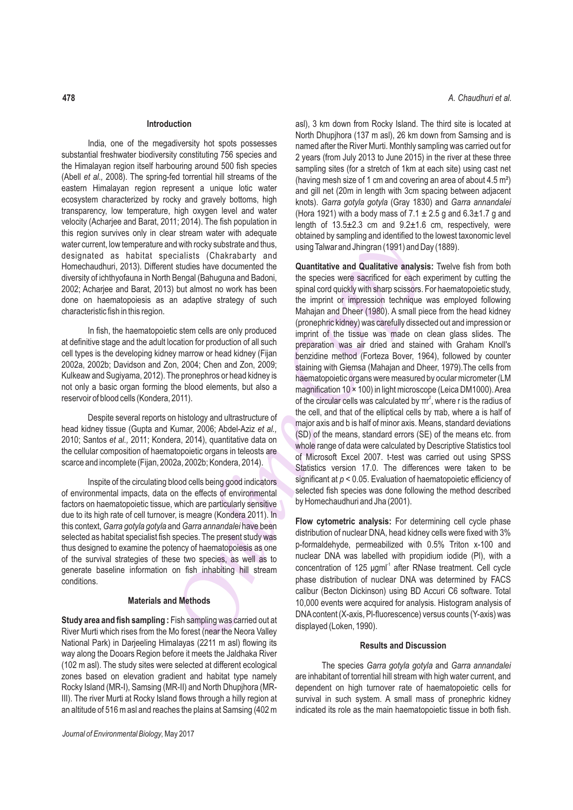### **Introduction**

India, one of the megadiversity hot spots possesses substantial freshwater biodiversity constituting 756 species and the Himalayan region itself harbouring around 500 fish species (Abell *et al.,* 2008). The spring-fed torrential hill streams of the eastern Himalayan region represent a unique lotic water ecosystem characterized by rocky and gravely bottoms, high transparency, low temperature, high oxygen level and water velocity (Acharjee and Barat, 2011; 2014). The fish population in this region survives only in clear stream water with adequate water current, low temperature and with rocky substrate and thus, designated as habitat specialists (Chakrabarty and Homechaudhuri, 2013). Different studies have documented the diversity of ichthyofauna in North Bengal (Bahuguna and Badoni, 2002; Acharjee and Barat, 2013) but almost no work has been done on haematopoiesis as an adaptive strategy of such characteristic fish in this region.

In fish, the haematopoietic stem cells are only produced at definitive stage and the adult location for production of all such cell types is the developing kidney marrow or head kidney (Fijan 2002a, 2002b; Davidson and Zon, 2004; Chen and Zon, 2009; Kulkeaw and Sugiyama, 2012). The pronephros or head kidney is not only a basic organ forming the blood elements, but also a reservoir of blood cells (Kondera, 2011).

Despite several reports on histology and ultrastructure of head kidney tissue (Gupta and Kumar, 2006; Abdel-Aziz *et al.,* 2010; Santos *et al.,* 2011; Kondera, 2014), quantitative data on the cellular composition of haematopoietic organs in teleosts are scarce and incomplete (Fijan, 2002a, 2002b; Kondera, 2014).

Inspite of the circulating blood cells being good indicators of environmental impacts, data on the effects of environmental factors on haematopoietic tissue, which are particularly sensitive due to its high rate of cell turnover, is meagre (Kondera 2011). In this context, *Garra gotyla gotyla* and *Garra annandalei* have been selected as habitat specialist fish species. The present study was thus designed to examine the potency of haematopoiesis as one of the survival strategies of these two species, as well as to generate baseline information on fish inhabiting hill stream conditions.

### **Materials and Methods**

**Study area and fish sampling :** Fish sampling was carried out at River Murti which rises from the Mo forest (near the Neora Valley National Park) in Darjeeling Himalayas (2211 m asl) flowing its way along the Dooars Region before it meets the Jaldhaka River (102 m asl). The study sites were selected at different ecological zones based on elevation gradient and habitat type namely Rocky Island (MR-I), Samsing (MR-II) and North Dhupjhora (MR-III). The river Murti at Rocky Island flows through a hilly region at an altitude of 516 m asl and reaches the plains at Samsing (402 m asl), 3 km down from Rocky Island. The third site is located at North Dhupjhora (137 m asl), 26 km down from Samsing and is named after the River Murti. Monthly sampling was carried out for 2 years (from July 2013 to June 2015) in the river at these three sampling sites (for a stretch of 1km at each site) using cast net (having mesh size of 1 cm and covering an area of about 4.5 m²) and gill net (20m in length with 3cm spacing between adjacent knots). *Garra gotyla gotyla* (Gray 1830) and *Garra annandalei* (Hora 1921) with a body mass of  $7.1 \pm 2.5$  g and  $6.3 \pm 1.7$  g and length of 13.5±2.3 cm and 9.2±1.6 cm, respectively, were obtained by sampling and identified to the lowest taxonomic level using Talwar and Jhingran (1991) and Day (1889).

In stream ware with aneued to the chiral to the the state of the state of the citalists (Chakrabarty and denoted the citalists (Chakrabarty and Dalamitative and Qualitative analysis elenged (Bahuguna and Badoni, the specie **Quantitative and Qualitative analysis:** Twelve fish from both the species were sacrificed for each experiment by cutting the spinal cord quickly with sharp scissors. For haematopoietic study, the imprint or impression technique was employed following Mahajan and Dheer (1980). A small piece from the head kidney (pronephric kidney) was carefully dissected out and impression or imprint of the tissue was made on clean glass slides. The preparation was air dried and stained with Graham Knoll's benzidine method (Forteza Bover, 1964), followed by counter staining with Giemsa (Mahajan and Dheer, 1979).The cells from haematopoietic organs were measured by ocular micrometer (LM magnification 10 × 100) in light microscope (Leica DM1000). Area 2 of the circular cells was calculated by  $\pi r^2$ , where r is the radius of the cell, and that of the elliptical cells by πab, where a is half of major axis and b is half of minor axis. Means, standard deviations (SD) of the means, standard errors (SE) of the means etc. from whole range of data were calculated by Descriptive Statistics tool of Microsoft Excel 2007. t-test was carried out using SPSS Statistics version 17.0. The differences were taken to be significant at *p* < 0.05. Evaluation of haematopoietic efficiency of selected fish species was done following the method described by Homechaudhuri and Jha (2001).

**Flow cytometric analysis:** For determining cell cycle phase distribution of nuclear DNA, head kidney cells were fixed with 3% p-formaldehyde, permeabilized with 0.5% Triton x-100 and nuclear DNA was labelled with propidium iodide (PI), with a concentration of 125 μgml<sup>-1</sup> after RNase treatment. Cell cycle phase distribution of nuclear DNA was determined by FACS calibur (Becton Dickinson) using BD Accuri C6 software. Total 10,000 events were acquired for analysis. Histogram analysis of DNA content (X-axis, Pl-fluorescence) versus counts (Y-axis) was displayed (Loken, 1990).

### **Results and Discussion**

The species *Garra gotyla gotyla* and *Garra annandalei*  are inhabitant of torrential hill stream with high water current, and dependent on high turnover rate of haematopoietic cells for survival in such system. A small mass of pronephric kidney indicated its role as the main haematopoietic tissue in both fish.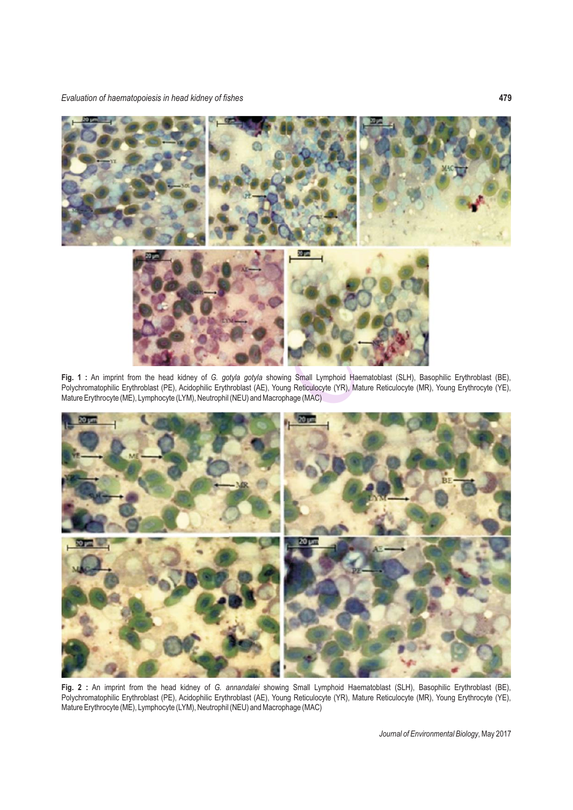

**Fig. 1 :** An imprint from the head kidney of *G. gotyla gotyla* showing Small Lymphoid Haematoblast (SLH), Basophilic Erythroblast (BE), Polychromatophilic Erythroblast (PE), Acidophilic Erythroblast (AE), Young Reticulocyte (YR), Mature Reticulocyte (MR), Young Erythrocyte (YE), Mature Erythrocyte (ME), Lymphocyte (LYM), Neutrophil (NEU) and Macrophage (MAC)



**Fig. 2 :** An imprint from the head kidney of *G. annandalei* showing Small Lymphoid Haematoblast (SLH), Basophilic Erythroblast (BE), Polychromatophilic Erythroblast (PE), Acidophilic Erythroblast (AE), Young Reticulocyte (YR), Mature Reticulocyte (MR), Young Erythrocyte (YE), Mature Erythrocyte (ME), Lymphocyte (LYM), Neutrophil (NEU) and Macrophage (MAC)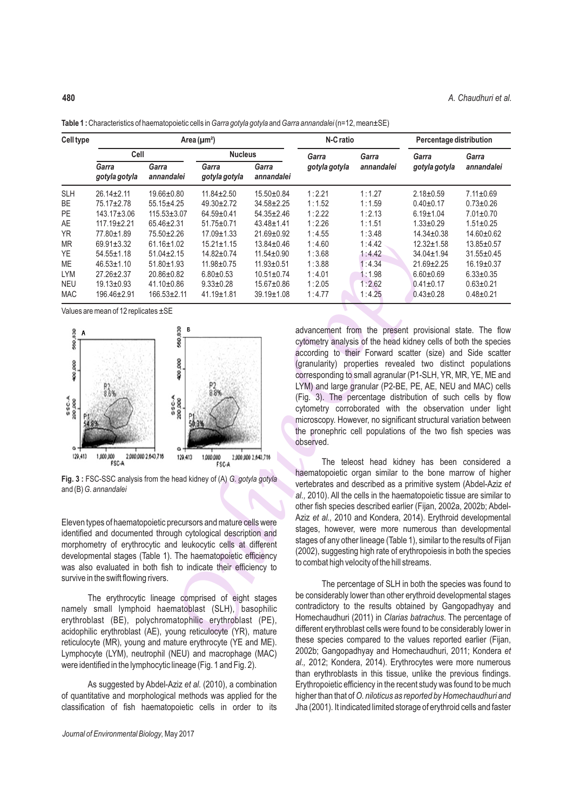| <b>Cell type</b>                                                                                                                                                                                                                                                                                                                                                                                                                                                  | Area ( $\mu$ m <sup>2</sup> )                                                                                                     |                     |                        |                     | N-C ratio                                                                                                                                                                                                                                                                                                                                                                                                                                                                                                                                                                                                                                             |            | Percentage distribution |                 |
|-------------------------------------------------------------------------------------------------------------------------------------------------------------------------------------------------------------------------------------------------------------------------------------------------------------------------------------------------------------------------------------------------------------------------------------------------------------------|-----------------------------------------------------------------------------------------------------------------------------------|---------------------|------------------------|---------------------|-------------------------------------------------------------------------------------------------------------------------------------------------------------------------------------------------------------------------------------------------------------------------------------------------------------------------------------------------------------------------------------------------------------------------------------------------------------------------------------------------------------------------------------------------------------------------------------------------------------------------------------------------------|------------|-------------------------|-----------------|
|                                                                                                                                                                                                                                                                                                                                                                                                                                                                   | Cell                                                                                                                              |                     | <b>Nucleus</b>         |                     | Garra                                                                                                                                                                                                                                                                                                                                                                                                                                                                                                                                                                                                                                                 | Garra      | Garra                   | Garra           |
|                                                                                                                                                                                                                                                                                                                                                                                                                                                                   | Garra<br>gotyla gotyla                                                                                                            | Garra<br>annandalei | Garra<br>gotyla gotyla | Garra<br>annandalei | gotyla gotyla                                                                                                                                                                                                                                                                                                                                                                                                                                                                                                                                                                                                                                         | annandalei | gotyla gotyla           | annandalei      |
| <b>SLH</b>                                                                                                                                                                                                                                                                                                                                                                                                                                                        | 26.14±2.11                                                                                                                        | 19.66±0.80          | 11.84±2.50             | 15.50±0.84          | 1:2.21                                                                                                                                                                                                                                                                                                                                                                                                                                                                                                                                                                                                                                                | 1:1.27     | $2.18 \pm 0.59$         | $7.11 \pm 0.69$ |
| BE                                                                                                                                                                                                                                                                                                                                                                                                                                                                | 75.17±2.78                                                                                                                        | 55.15±4.25          | 49.30±2.72             | 34.58±2.25          | 1:1.52                                                                                                                                                                                                                                                                                                                                                                                                                                                                                                                                                                                                                                                | 1:1.59     | $0.40 \pm 0.17$         | $0.73 \pm 0.26$ |
| PE                                                                                                                                                                                                                                                                                                                                                                                                                                                                | 143.17±3.06                                                                                                                       | 115.53±3.07         | 64.59±0.41             | 54.35±2.46          | 1:2.22                                                                                                                                                                                                                                                                                                                                                                                                                                                                                                                                                                                                                                                | 1:2.13     | $6.19 \pm 1.04$         | $7.01 \pm 0.70$ |
| AE                                                                                                                                                                                                                                                                                                                                                                                                                                                                | 117.19±2.21                                                                                                                       | 65.46±2.31          | 51.75±0.71             | 43.48±1.41          | 1:2.26                                                                                                                                                                                                                                                                                                                                                                                                                                                                                                                                                                                                                                                | 1:1.51     | $1.33 \pm 0.29$         | $1.51 \pm 0.25$ |
| <b>YR</b>                                                                                                                                                                                                                                                                                                                                                                                                                                                         | 77.80±1.89                                                                                                                        | 75.50±2.26          | 17.09±1.33             | 21.69±0.92          | 1:4.55                                                                                                                                                                                                                                                                                                                                                                                                                                                                                                                                                                                                                                                | 1:3.48     | 14.34±0.38              | 14.60±0.62      |
| MR                                                                                                                                                                                                                                                                                                                                                                                                                                                                | 69.91±3.32                                                                                                                        | 61.16±1.02          | $15.21 \pm 1.15$       | 13.84±0.46          | 1:4.60                                                                                                                                                                                                                                                                                                                                                                                                                                                                                                                                                                                                                                                | 1:4.42     | 12.32±1.58              | 13.85±0.57      |
| YE                                                                                                                                                                                                                                                                                                                                                                                                                                                                | 54.55±1.18                                                                                                                        | $51.04 \pm 2.15$    | 14.82±0.74             | 11.54±0.90          | 1:3.68                                                                                                                                                                                                                                                                                                                                                                                                                                                                                                                                                                                                                                                | 1:4.42     | 34.04±1.94              | 31.55±0.45      |
| ME                                                                                                                                                                                                                                                                                                                                                                                                                                                                | 46.53±1.10                                                                                                                        | 51.80±1.93          | 11.98±0.75             | 11.93±0.51          | 1:3.88                                                                                                                                                                                                                                                                                                                                                                                                                                                                                                                                                                                                                                                | 1:4.34     | 21.69±2.25              | 16.19±0.37      |
| <b>LYM</b>                                                                                                                                                                                                                                                                                                                                                                                                                                                        | 27.26±2.37                                                                                                                        | 20.86±0.82          | $6.80 \pm 0.53$        | $10.51 \pm 0.74$    | 1:4.01                                                                                                                                                                                                                                                                                                                                                                                                                                                                                                                                                                                                                                                | 1:1.98     | $6.60 \pm 0.69$         | $6.33 \pm 0.35$ |
| <b>NEU</b>                                                                                                                                                                                                                                                                                                                                                                                                                                                        | 19.13±0.93                                                                                                                        | 41.10±0.86          | $9.33 \pm 0.28$        | 15.67±0.86          | 1:2.05                                                                                                                                                                                                                                                                                                                                                                                                                                                                                                                                                                                                                                                | 1:2.62     | $0.41 \pm 0.17$         | $0.63 \pm 0.21$ |
| <b>MAC</b>                                                                                                                                                                                                                                                                                                                                                                                                                                                        | 196.46±2.91                                                                                                                       | 166.53±2.11         | 41.19±1.81             | 39.19±1.08          | 1:4.77                                                                                                                                                                                                                                                                                                                                                                                                                                                                                                                                                                                                                                                | 1:4.25     | $0.43 \pm 0.28$         | $0.48 + 0.21$   |
|                                                                                                                                                                                                                                                                                                                                                                                                                                                                   | Values are mean of 12 replicates ±SE                                                                                              |                     |                        |                     |                                                                                                                                                                                                                                                                                                                                                                                                                                                                                                                                                                                                                                                       |            |                         |                 |
| 560,830<br>400,000<br>SSC-A<br>200.000<br>129,413                                                                                                                                                                                                                                                                                                                                                                                                                 | 8<br>8<br>Ş<br>P2<br>8.8%<br>\$SC.A<br>200,000<br>1,000,000<br>2,000,000 2,643,716<br>2,000,000 2,643,716<br>129,413<br>1,000,000 |                     |                        |                     | cytometry analysis of the head kidney cells of both the species<br>according to their Forward scatter (size) and Side scatter<br>(granularity) properties revealed two distinct populations<br>corresponding to small agranular (P1-SLH, YR, MR, YE, ME and<br>LYM) and large granular (P2-BE, PE, AE, NEU and MAC) cells<br>(Fig. 3). The percentage distribution of such cells by flow<br>cytometry corroborated with the observation under light<br>microscopy. However, no significant structural variation between<br>the pronephric cell populations of the two fish species was<br>observed.                                                   |            |                         |                 |
| FSC-A<br><b>FSC-A</b><br>Fig. 3 : FSC-SSC analysis from the head kidney of (A) G. gotyla gotyla<br>and (B) G. annandalei<br>Eleven types of haematopoietic precursors and mature cells were<br>identified and documented through cytological description and<br>morphometry of erythrocytic and leukocytic cells at different<br>developmental stages (Table 1). The haematopoietic efficiency<br>was also evaluated in both fish to indicate their efficiency to |                                                                                                                                   |                     |                        |                     | The teleost head kidney has been considered a<br>haematopoietic organ similar to the bone marrow of higher<br>vertebrates and described as a primitive system (Abdel-Aziz et<br>al., 2010). All the cells in the haematopoietic tissue are similar to<br>other fish species described earlier (Fijan, 2002a, 2002b; Abdel-<br>Aziz et al., 2010 and Kondera, 2014). Erythroid developmental<br>stages, however, were more numerous than developmental<br>stages of any other lineage (Table 1), similar to the results of Fijan<br>(2002), suggesting high rate of erythropoiesis in both the species<br>to combat high velocity of the hill streams. |            |                         |                 |
| survive in the swift flowing rivers.<br>The erythrocytic lineage comprised of eight stages<br>namely small lymphoid haematoblast (SLH), basophilic<br>erythroblast (BE), polychromatophilic erythroblast (PE),<br>acidophilic erythroblast (AE), young reticulocyte (YR), mature                                                                                                                                                                                  |                                                                                                                                   |                     |                        |                     | The percentage of SLH in both the species was found to<br>be considerably lower than other erythroid developmental stages<br>contradictory to the results obtained by Gangopadhyay and<br>Homechaudhuri (2011) in Clarias batrachus. The percentage of<br>different erythroblast cells were found to be considerably lower in<br>these speaks compared to the values reported earlier (Filian                                                                                                                                                                                                                                                         |            |                         |                 |

**Table 1 :** Characteristics of haematopoietic cells in *Garra gotyla gotyla* and *Garra annandalei* (n=12, mean±SE)



**Fig. 3: FSC-SSC analysis from the head kidney of (A) G. gotyla gotyla** and (B) *G. annandalei*

The erythrocytic lineage comprised of eight stages namely small lymphoid haematoblast (SLH), basophilic erythroblast (BE), polychromatophilic erythroblast (PE), acidophilic erythroblast (AE), young reticulocyte (YR), mature reticulocyte (MR), young and mature erythrocyte (YE and ME). Lymphocyte (LYM), neutrophil (NEU) and macrophage (MAC) were identified in the lymphocytic lineage (Fig. 1 and Fig. 2).

As suggested by Abdel-Aziz *et al.* (2010), a combination of quantitative and morphological methods was applied for the classification of fish haematopoietic cells in order to its

The percentage of SLH in both the species was found to be considerably lower than other erythroid developmental stages contradictory to the results obtained by Gangopadhyay and Homechaudhuri (2011) in *Clarias batrachus*. The percentage of different erythroblast cells were found to be considerably lower in these species compared to the values reported earlier (Fijan, 2002b; Gangopadhyay and Homechaudhuri, 2011; Kondera *et al.,* 2012; Kondera, 2014). Erythrocytes were more numerous than erythroblasts in this tissue, unlike the previous findings. Erythropoietic efficiency in the recent study was found to be much higher than that of *O. niloticus as reported by Homechaudhuri and*  Jha (2001)*.* It indicated limited storage of erythroid cells and faster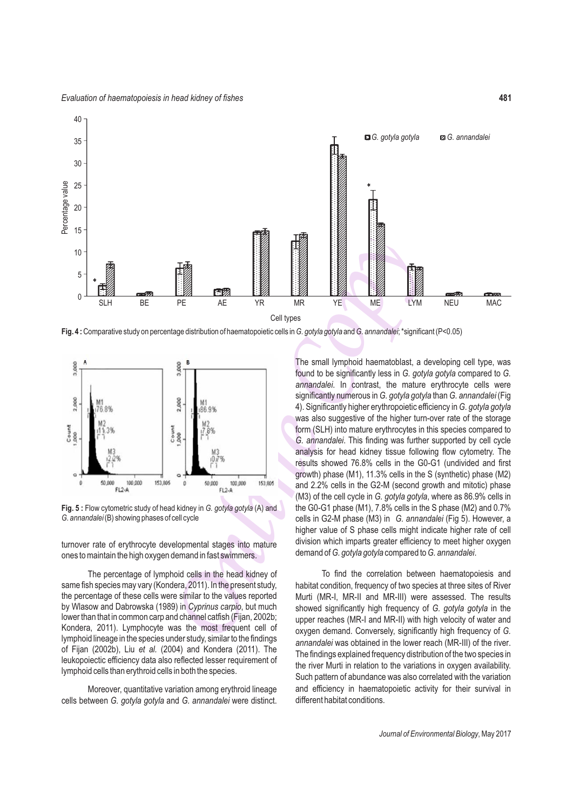

**Fig. 4 :** Comparative study on percentage distribution of haematopoietic cells in *G. gotyla gotyla* and *G. annandalei*; \*significant (P<0.05)



**Fig. 5 :** Flow cytometric study of head kidney in *G. gotyla gotyla* (A) and *G. annandalei* (B) showing phases of cell cycle

turnover rate of erythrocyte developmental stages into mature ones to maintain the high oxygen demand in fast swimmers.

The percentage of lymphoid cells in the head kidney of same fish species may vary (Kondera, 2011). In the present study, the percentage of these cells were similar to the values reported by Wlasow and Dabrowska (1989) in *Cyprinus carpio*, but much lower than that in common carp and channel catfish (Fijan, 2002b; Kondera, 2011). Lymphocyte was the most frequent cell of lymphoid lineage in the species under study, similar to the findings of Fijan (2002b), Liu *et al.* (2004) and Kondera (2011). The leukopoiectic efficiency data also reflected lesser requirement of lymphoid cells than erythroid cells in both the species.

Moreover, quantitative variation among erythroid lineage cells between *G. gotyla gotyla* and *G. annandalei* were distinct.

THE RE RE TRIME IN THE RETAINMENT OF THE SAME REPORT OF THE SAME RESPONSIBLE TO A SAME CHIVES are advistmental converged as the matter of the significant of the significant of the significant of the significant of the sig The small lymphoid haematoblast, a developing cell type, was found to be significantly less in *G. gotyla gotyla* compared to *G. annandalei*. In contrast, the mature erythrocyte cells were significantly numerous in *G. gotyla gotyla* than *G. annandalei* (Fig 4). Significantly higher erythropoietic efficiency in *G. gotyla gotyla*  was also suggestive of the higher turn-over rate of the storage form (SLH) into mature erythrocytes in this species compared to *G. annandalei*. This finding was further supported by cell cycle analysis for head kidney tissue following flow cytometry. The results showed 76.8% cells in the G0-G1 (undivided and first growth) phase (M1), 11.3% cells in the S (synthetic) phase (M2) and 2.2% cells in the G2-M (second growth and mitotic) phase (M3) of the cell cycle in *G. gotyla gotyla*, where as 86.9% cells in the G0-G1 phase (M1), 7.8% cells in the S phase (M2) and 0.7% cells in G2-M phase (M3) in *G. annandalei* (Fig 5). However, a higher value of S phase cells might indicate higher rate of cell division which imparts greater efficiency to meet higher oxygen demand of *G. gotyla gotyla* compared to *G. annandalei*.

To find the correlation between haematopoiesis and habitat condition, frequency of two species at three sites of River Murti (MR-I, MR-II and MR-III) were assessed. The results showed significantly high frequency of *G. gotyla gotyla* in the upper reaches (MR-I and MR-II) with high velocity of water and oxygen demand. Conversely, significantly high frequency of *G. annandalei* was obtained in the lower reach (MR-III) of the river. The findings explained frequency distribution of the two species in the river Murti in relation to the variations in oxygen availability. Such pattern of abundance was also correlated with the variation and efficiency in haematopoietic activity for their survival in different habitat conditions.